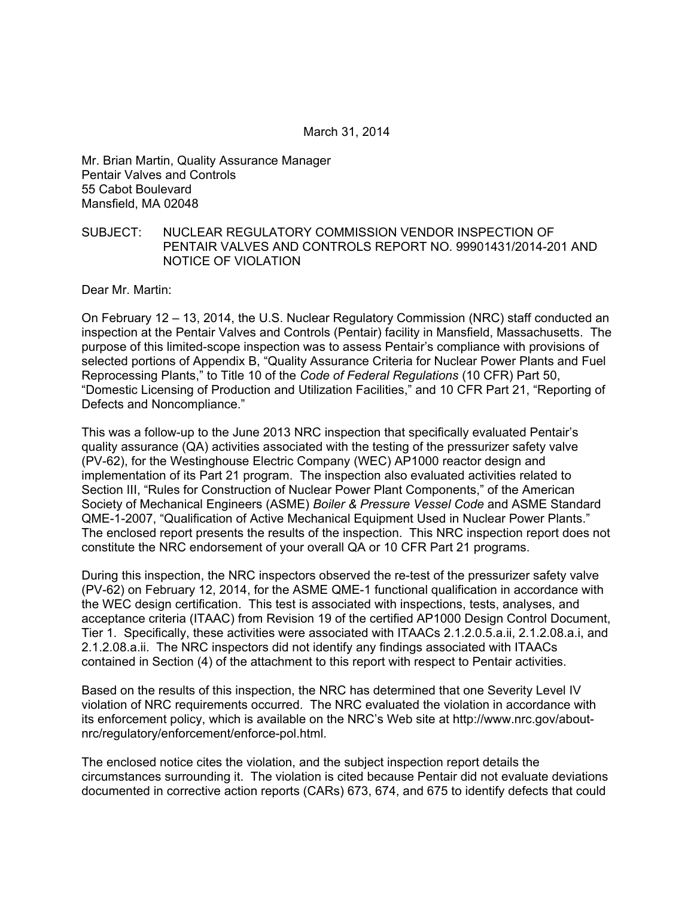Mr. Brian Martin, Quality Assurance Manager Pentair Valves and Controls 55 Cabot Boulevard Mansfield, MA 02048

### SUBJECT: NUCLEAR REGULATORY COMMISSION VENDOR INSPECTION OF PENTAIR VALVES AND CONTROLS REPORT NO. 99901431/2014-201 AND NOTICE OF VIOLATION

Dear Mr. Martin:

On February 12 – 13, 2014, the U.S. Nuclear Regulatory Commission (NRC) staff conducted an inspection at the Pentair Valves and Controls (Pentair) facility in Mansfield, Massachusetts. The purpose of this limited-scope inspection was to assess Pentair's compliance with provisions of selected portions of Appendix B, "Quality Assurance Criteria for Nuclear Power Plants and Fuel Reprocessing Plants," to Title 10 of the *Code of Federal Regulations* (10 CFR) Part 50, "Domestic Licensing of Production and Utilization Facilities," and 10 CFR Part 21, "Reporting of Defects and Noncompliance."

This was a follow-up to the June 2013 NRC inspection that specifically evaluated Pentair's quality assurance (QA) activities associated with the testing of the pressurizer safety valve (PV-62), for the Westinghouse Electric Company (WEC) AP1000 reactor design and implementation of its Part 21 program. The inspection also evaluated activities related to Section III, "Rules for Construction of Nuclear Power Plant Components," of the American Society of Mechanical Engineers (ASME) *Boiler & Pressure Vessel Code* and ASME Standard QME-1-2007, "Qualification of Active Mechanical Equipment Used in Nuclear Power Plants." The enclosed report presents the results of the inspection. This NRC inspection report does not constitute the NRC endorsement of your overall QA or 10 CFR Part 21 programs.

During this inspection, the NRC inspectors observed the re-test of the pressurizer safety valve (PV-62) on February 12, 2014, for the ASME QME-1 functional qualification in accordance with the WEC design certification. This test is associated with inspections, tests, analyses, and acceptance criteria (ITAAC) from Revision 19 of the certified AP1000 Design Control Document, Tier 1. Specifically, these activities were associated with ITAACs 2.1.2.0.5.a.ii, 2.1.2.08.a.i, and 2.1.2.08.a.ii. The NRC inspectors did not identify any findings associated with ITAACs contained in Section (4) of the attachment to this report with respect to Pentair activities.

Based on the results of this inspection, the NRC has determined that one Severity Level IV violation of NRC requirements occurred. The NRC evaluated the violation in accordance with its enforcement policy, which is available on the NRC's Web site at http://www.nrc.gov/aboutnrc/regulatory/enforcement/enforce-pol.html.

The enclosed notice cites the violation, and the subject inspection report details the circumstances surrounding it. The violation is cited because Pentair did not evaluate deviations documented in corrective action reports (CARs) 673, 674, and 675 to identify defects that could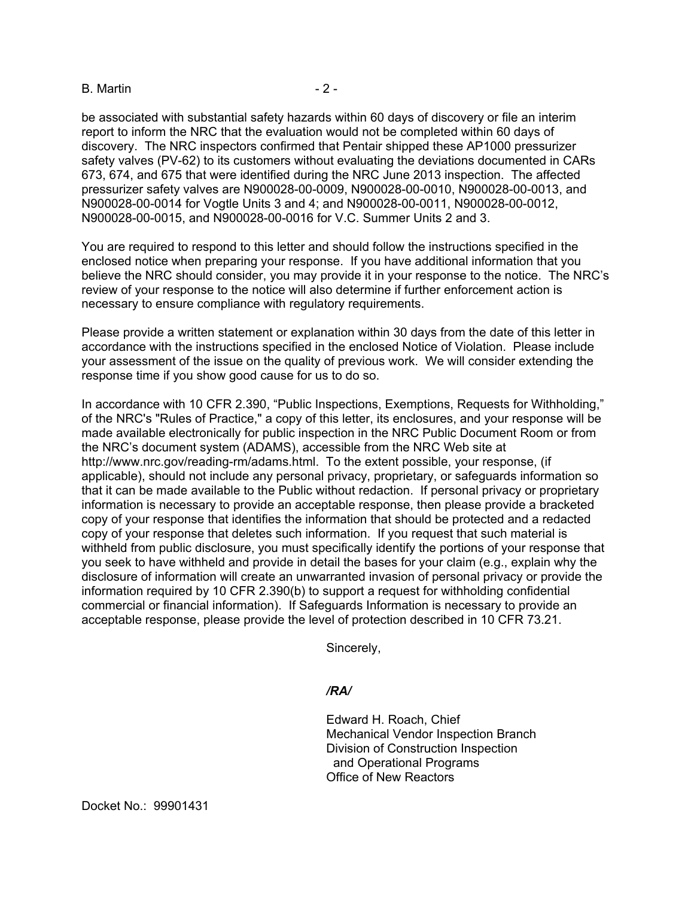#### B. Martin  $-2 -$

be associated with substantial safety hazards within 60 days of discovery or file an interim report to inform the NRC that the evaluation would not be completed within 60 days of discovery. The NRC inspectors confirmed that Pentair shipped these AP1000 pressurizer safety valves (PV-62) to its customers without evaluating the deviations documented in CARs 673, 674, and 675 that were identified during the NRC June 2013 inspection. The affected pressurizer safety valves are N900028-00-0009, N900028-00-0010, N900028-00-0013, and N900028-00-0014 for Vogtle Units 3 and 4; and N900028-00-0011, N900028-00-0012, N900028-00-0015, and N900028-00-0016 for V.C. Summer Units 2 and 3.

You are required to respond to this letter and should follow the instructions specified in the enclosed notice when preparing your response. If you have additional information that you believe the NRC should consider, you may provide it in your response to the notice. The NRC's review of your response to the notice will also determine if further enforcement action is necessary to ensure compliance with regulatory requirements.

Please provide a written statement or explanation within 30 days from the date of this letter in accordance with the instructions specified in the enclosed Notice of Violation. Please include your assessment of the issue on the quality of previous work. We will consider extending the response time if you show good cause for us to do so.

In accordance with 10 CFR 2.390, "Public Inspections, Exemptions, Requests for Withholding," of the NRC's "Rules of Practice," a copy of this letter, its enclosures, and your response will be made available electronically for public inspection in the NRC Public Document Room or from the NRC's document system (ADAMS), accessible from the NRC Web site at http://www.nrc.gov/reading-rm/adams.html. To the extent possible, your response, (if applicable), should not include any personal privacy, proprietary, or safeguards information so that it can be made available to the Public without redaction. If personal privacy or proprietary information is necessary to provide an acceptable response, then please provide a bracketed copy of your response that identifies the information that should be protected and a redacted copy of your response that deletes such information. If you request that such material is withheld from public disclosure, you must specifically identify the portions of your response that you seek to have withheld and provide in detail the bases for your claim (e.g., explain why the disclosure of information will create an unwarranted invasion of personal privacy or provide the information required by 10 CFR 2.390(b) to support a request for withholding confidential commercial or financial information). If Safeguards Information is necessary to provide an acceptable response, please provide the level of protection described in 10 CFR 73.21.

Sincerely,

### */RA/*

Edward H. Roach, Chief Mechanical Vendor Inspection Branch Division of Construction Inspection and Operational Programs Office of New Reactors

Docket No.: 99901431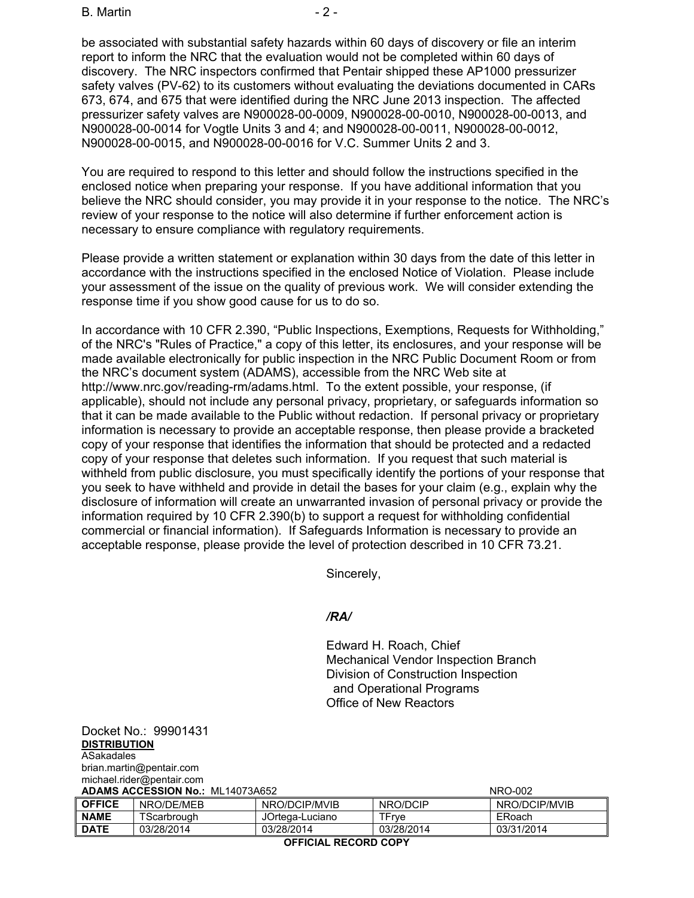B. Martin  $-2$  -

be associated with substantial safety hazards within 60 days of discovery or file an interim report to inform the NRC that the evaluation would not be completed within 60 days of discovery. The NRC inspectors confirmed that Pentair shipped these AP1000 pressurizer safety valves (PV-62) to its customers without evaluating the deviations documented in CARs 673, 674, and 675 that were identified during the NRC June 2013 inspection. The affected pressurizer safety valves are N900028-00-0009, N900028-00-0010, N900028-00-0013, and N900028-00-0014 for Vogtle Units 3 and 4; and N900028-00-0011, N900028-00-0012, N900028-00-0015, and N900028-00-0016 for V.C. Summer Units 2 and 3.

You are required to respond to this letter and should follow the instructions specified in the enclosed notice when preparing your response. If you have additional information that you believe the NRC should consider, you may provide it in your response to the notice. The NRC's review of your response to the notice will also determine if further enforcement action is necessary to ensure compliance with regulatory requirements.

Please provide a written statement or explanation within 30 days from the date of this letter in accordance with the instructions specified in the enclosed Notice of Violation. Please include your assessment of the issue on the quality of previous work. We will consider extending the response time if you show good cause for us to do so.

In accordance with 10 CFR 2.390, "Public Inspections, Exemptions, Requests for Withholding," of the NRC's "Rules of Practice," a copy of this letter, its enclosures, and your response will be made available electronically for public inspection in the NRC Public Document Room or from the NRC's document system (ADAMS), accessible from the NRC Web site at http://www.nrc.gov/reading-rm/adams.html. To the extent possible, your response, (if applicable), should not include any personal privacy, proprietary, or safeguards information so that it can be made available to the Public without redaction. If personal privacy or proprietary information is necessary to provide an acceptable response, then please provide a bracketed copy of your response that identifies the information that should be protected and a redacted copy of your response that deletes such information. If you request that such material is withheld from public disclosure, you must specifically identify the portions of your response that you seek to have withheld and provide in detail the bases for your claim (e.g., explain why the disclosure of information will create an unwarranted invasion of personal privacy or provide the information required by 10 CFR 2.390(b) to support a request for withholding confidential commercial or financial information). If Safeguards Information is necessary to provide an acceptable response, please provide the level of protection described in 10 CFR 73.21.

Sincerely,

### */RA/*

Edward H. Roach, Chief Mechanical Vendor Inspection Branch Division of Construction Inspection and Operational Programs Office of New Reactors

Docket No.: 99901431 **DISTRIBUTION** ASakadales brian.martin@pentair.com michael.rider@pentair.com

| <b>ADAMS ACCESSION No.: ML14073A652</b> |             |                 | NRO-002    |               |  |
|-----------------------------------------|-------------|-----------------|------------|---------------|--|
| <b>OFFICE</b>                           | NRO/DE/MEB  | NRO/DCIP/MVIB   | NRO/DCIP   | NRO/DCIP/MVIB |  |
| <b>NAME</b>                             | TScarbrough | JOrtega-Luciano | TFrve      | ERoach        |  |
| DATE                                    | 03/28/2014  | 03/28/2014      | 03/28/2014 | 03/31/2014    |  |

**OFFICIAL RECORD COPY**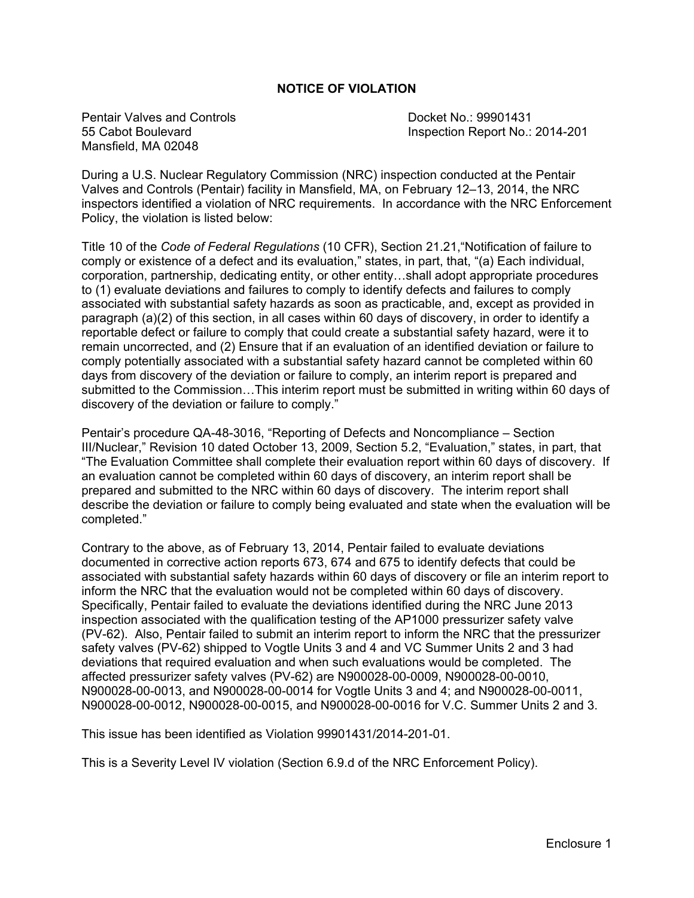### **NOTICE OF VIOLATION**

Pentair Valves and Controls **Docket No.: 99901431** Mansfield, MA 02048

55 Cabot Boulevard Inspection Report No.: 2014-201

During a U.S. Nuclear Regulatory Commission (NRC) inspection conducted at the Pentair Valves and Controls (Pentair) facility in Mansfield, MA, on February 12–13, 2014, the NRC inspectors identified a violation of NRC requirements. In accordance with the NRC Enforcement Policy, the violation is listed below:

Title 10 of the *Code of Federal Regulations* (10 CFR), Section 21.21,"Notification of failure to comply or existence of a defect and its evaluation," states, in part, that, "(a) Each individual, corporation, partnership, dedicating entity, or other entity…shall adopt appropriate procedures to (1) evaluate deviations and failures to comply to identify defects and failures to comply associated with substantial safety hazards as soon as practicable, and, except as provided in paragraph (a)(2) of this section, in all cases within 60 days of discovery, in order to identify a reportable defect or failure to comply that could create a substantial safety hazard, were it to remain uncorrected, and (2) Ensure that if an evaluation of an identified deviation or failure to comply potentially associated with a substantial safety hazard cannot be completed within 60 days from discovery of the deviation or failure to comply, an interim report is prepared and submitted to the Commission…This interim report must be submitted in writing within 60 days of discovery of the deviation or failure to comply."

Pentair's procedure QA-48-3016, "Reporting of Defects and Noncompliance – Section III/Nuclear," Revision 10 dated October 13, 2009, Section 5.2, "Evaluation," states, in part, that "The Evaluation Committee shall complete their evaluation report within 60 days of discovery. If an evaluation cannot be completed within 60 days of discovery, an interim report shall be prepared and submitted to the NRC within 60 days of discovery. The interim report shall describe the deviation or failure to comply being evaluated and state when the evaluation will be completed."

Contrary to the above, as of February 13, 2014, Pentair failed to evaluate deviations documented in corrective action reports 673, 674 and 675 to identify defects that could be associated with substantial safety hazards within 60 days of discovery or file an interim report to inform the NRC that the evaluation would not be completed within 60 days of discovery. Specifically, Pentair failed to evaluate the deviations identified during the NRC June 2013 inspection associated with the qualification testing of the AP1000 pressurizer safety valve (PV-62). Also, Pentair failed to submit an interim report to inform the NRC that the pressurizer safety valves (PV-62) shipped to Vogtle Units 3 and 4 and VC Summer Units 2 and 3 had deviations that required evaluation and when such evaluations would be completed. The affected pressurizer safety valves (PV-62) are N900028-00-0009, N900028-00-0010, N900028-00-0013, and N900028-00-0014 for Vogtle Units 3 and 4; and N900028-00-0011, N900028-00-0012, N900028-00-0015, and N900028-00-0016 for V.C. Summer Units 2 and 3.

This issue has been identified as Violation 99901431/2014-201-01.

This is a Severity Level IV violation (Section 6.9.d of the NRC Enforcement Policy).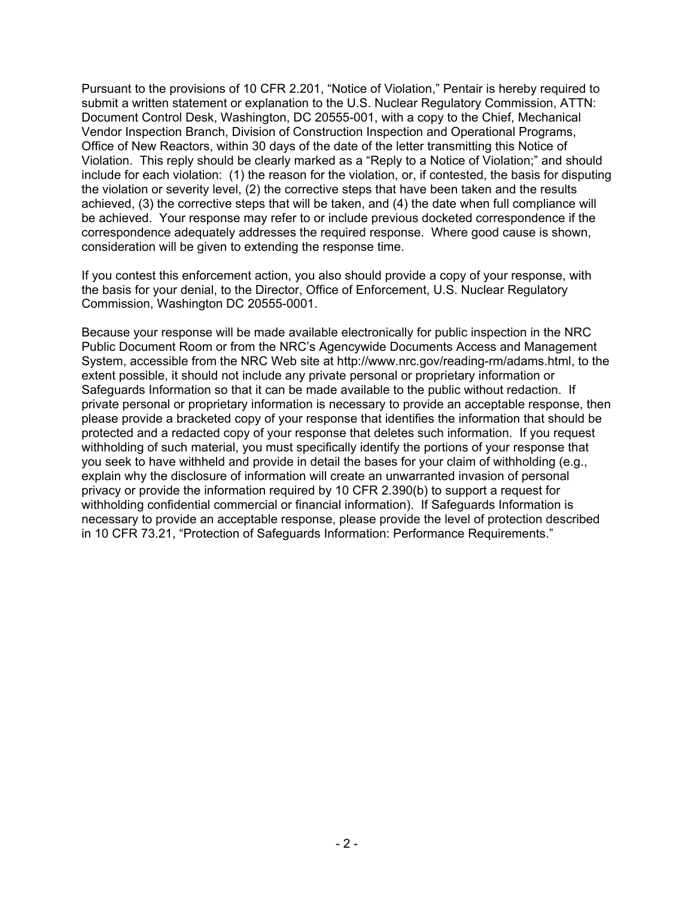Pursuant to the provisions of 10 CFR 2.201, "Notice of Violation," Pentair is hereby required to submit a written statement or explanation to the U.S. Nuclear Regulatory Commission, ATTN: Document Control Desk, Washington, DC 20555-001, with a copy to the Chief, Mechanical Vendor Inspection Branch, Division of Construction Inspection and Operational Programs, Office of New Reactors, within 30 days of the date of the letter transmitting this Notice of Violation. This reply should be clearly marked as a "Reply to a Notice of Violation;" and should include for each violation: (1) the reason for the violation, or, if contested, the basis for disputing the violation or severity level, (2) the corrective steps that have been taken and the results achieved, (3) the corrective steps that will be taken, and (4) the date when full compliance will be achieved. Your response may refer to or include previous docketed correspondence if the correspondence adequately addresses the required response. Where good cause is shown, consideration will be given to extending the response time.

If you contest this enforcement action, you also should provide a copy of your response, with the basis for your denial, to the Director, Office of Enforcement, U.S. Nuclear Regulatory Commission, Washington DC 20555-0001.

Because your response will be made available electronically for public inspection in the NRC Public Document Room or from the NRC's Agencywide Documents Access and Management System, accessible from the NRC Web site at http://www.nrc.gov/reading-rm/adams.html, to the extent possible, it should not include any private personal or proprietary information or Safeguards Information so that it can be made available to the public without redaction. If private personal or proprietary information is necessary to provide an acceptable response, then please provide a bracketed copy of your response that identifies the information that should be protected and a redacted copy of your response that deletes such information. If you request withholding of such material, you must specifically identify the portions of your response that you seek to have withheld and provide in detail the bases for your claim of withholding (e.g., explain why the disclosure of information will create an unwarranted invasion of personal privacy or provide the information required by 10 CFR 2.390(b) to support a request for withholding confidential commercial or financial information). If Safeguards Information is necessary to provide an acceptable response, please provide the level of protection described in 10 CFR 73.21, "Protection of Safeguards Information: Performance Requirements."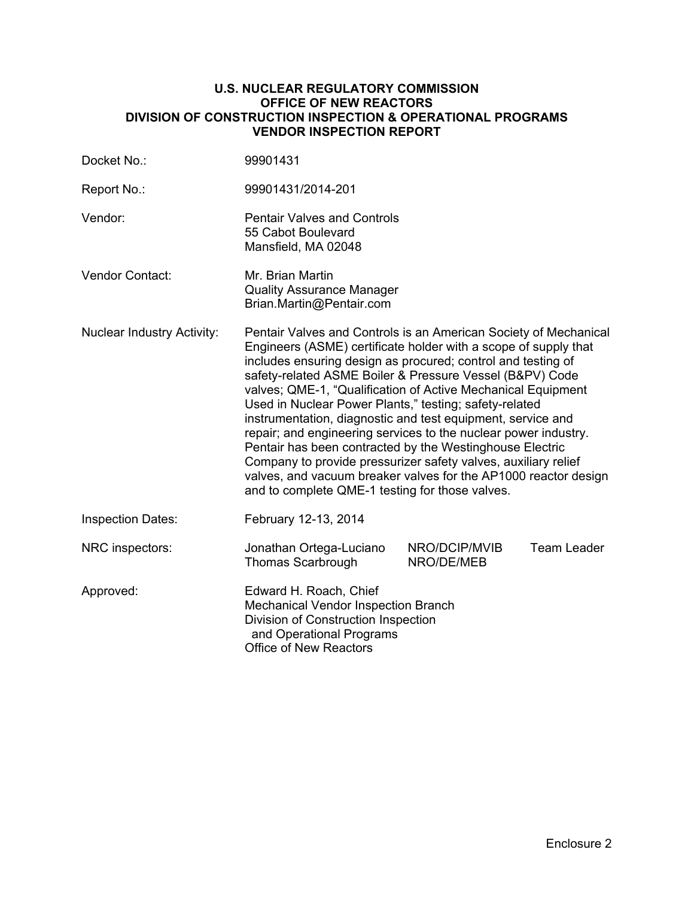### **U.S. NUCLEAR REGULATORY COMMISSION OFFICE OF NEW REACTORS DIVISION OF CONSTRUCTION INSPECTION & OPERATIONAL PROGRAMS VENDOR INSPECTION REPORT**

| Docket No.:                       | 99901431                                                                                                                                                                                                                                                                                                                                                                                                                                                                                                                                                                                                                                                                                                                                                                        |                             |                    |  |
|-----------------------------------|---------------------------------------------------------------------------------------------------------------------------------------------------------------------------------------------------------------------------------------------------------------------------------------------------------------------------------------------------------------------------------------------------------------------------------------------------------------------------------------------------------------------------------------------------------------------------------------------------------------------------------------------------------------------------------------------------------------------------------------------------------------------------------|-----------------------------|--------------------|--|
| Report No.:                       | 99901431/2014-201                                                                                                                                                                                                                                                                                                                                                                                                                                                                                                                                                                                                                                                                                                                                                               |                             |                    |  |
| Vendor:                           | <b>Pentair Valves and Controls</b><br>55 Cabot Boulevard<br>Mansfield, MA 02048                                                                                                                                                                                                                                                                                                                                                                                                                                                                                                                                                                                                                                                                                                 |                             |                    |  |
| Vendor Contact:                   | Mr. Brian Martin<br><b>Quality Assurance Manager</b><br>Brian.Martin@Pentair.com                                                                                                                                                                                                                                                                                                                                                                                                                                                                                                                                                                                                                                                                                                |                             |                    |  |
| <b>Nuclear Industry Activity:</b> | Pentair Valves and Controls is an American Society of Mechanical<br>Engineers (ASME) certificate holder with a scope of supply that<br>includes ensuring design as procured; control and testing of<br>safety-related ASME Boiler & Pressure Vessel (B&PV) Code<br>valves; QME-1, "Qualification of Active Mechanical Equipment<br>Used in Nuclear Power Plants," testing; safety-related<br>instrumentation, diagnostic and test equipment, service and<br>repair; and engineering services to the nuclear power industry.<br>Pentair has been contracted by the Westinghouse Electric<br>Company to provide pressurizer safety valves, auxiliary relief<br>valves, and vacuum breaker valves for the AP1000 reactor design<br>and to complete QME-1 testing for those valves. |                             |                    |  |
| <b>Inspection Dates:</b>          | February 12-13, 2014                                                                                                                                                                                                                                                                                                                                                                                                                                                                                                                                                                                                                                                                                                                                                            |                             |                    |  |
| NRC inspectors:                   | Jonathan Ortega-Luciano<br><b>Thomas Scarbrough</b>                                                                                                                                                                                                                                                                                                                                                                                                                                                                                                                                                                                                                                                                                                                             | NRO/DCIP/MVIB<br>NRO/DE/MEB | <b>Team Leader</b> |  |
| Approved:                         | Edward H. Roach, Chief<br>Mechanical Vendor Inspection Branch<br>Division of Construction Inspection<br>and Operational Programs<br><b>Office of New Reactors</b>                                                                                                                                                                                                                                                                                                                                                                                                                                                                                                                                                                                                               |                             |                    |  |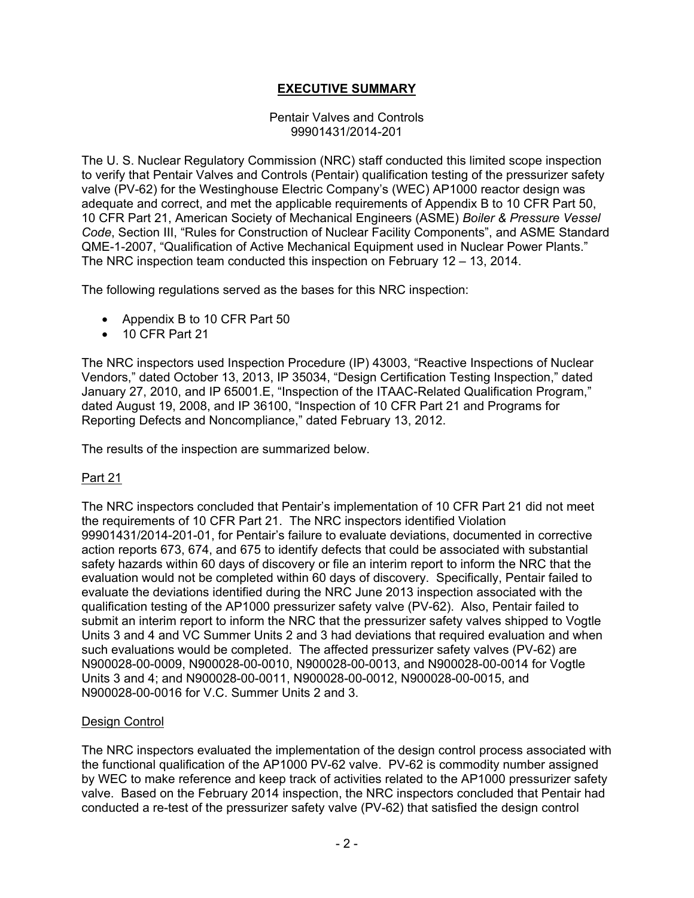## **EXECUTIVE SUMMARY**

### Pentair Valves and Controls 99901431/2014-201

The U. S. Nuclear Regulatory Commission (NRC) staff conducted this limited scope inspection to verify that Pentair Valves and Controls (Pentair) qualification testing of the pressurizer safety valve (PV-62) for the Westinghouse Electric Company's (WEC) AP1000 reactor design was adequate and correct, and met the applicable requirements of Appendix B to 10 CFR Part 50, 10 CFR Part 21, American Society of Mechanical Engineers (ASME) *Boiler & Pressure Vessel Code*, Section III, "Rules for Construction of Nuclear Facility Components", and ASME Standard QME-1-2007, "Qualification of Active Mechanical Equipment used in Nuclear Power Plants." The NRC inspection team conducted this inspection on February 12 – 13, 2014.

The following regulations served as the bases for this NRC inspection:

- Appendix B to 10 CFR Part 50
- 10 CFR Part 21

The NRC inspectors used Inspection Procedure (IP) 43003, "Reactive Inspections of Nuclear Vendors," dated October 13, 2013, IP 35034, "Design Certification Testing Inspection," dated January 27, 2010, and IP 65001.E, "Inspection of the ITAAC-Related Qualification Program," dated August 19, 2008, and IP 36100, "Inspection of 10 CFR Part 21 and Programs for Reporting Defects and Noncompliance," dated February 13, 2012.

The results of the inspection are summarized below.

### Part 21

The NRC inspectors concluded that Pentair's implementation of 10 CFR Part 21 did not meet the requirements of 10 CFR Part 21. The NRC inspectors identified Violation 99901431/2014-201-01, for Pentair's failure to evaluate deviations, documented in corrective action reports 673, 674, and 675 to identify defects that could be associated with substantial safety hazards within 60 days of discovery or file an interim report to inform the NRC that the evaluation would not be completed within 60 days of discovery. Specifically, Pentair failed to evaluate the deviations identified during the NRC June 2013 inspection associated with the qualification testing of the AP1000 pressurizer safety valve (PV-62). Also, Pentair failed to submit an interim report to inform the NRC that the pressurizer safety valves shipped to Vogtle Units 3 and 4 and VC Summer Units 2 and 3 had deviations that required evaluation and when such evaluations would be completed. The affected pressurizer safety valves (PV-62) are N900028-00-0009, N900028-00-0010, N900028-00-0013, and N900028-00-0014 for Vogtle Units 3 and 4; and N900028-00-0011, N900028-00-0012, N900028-00-0015, and N900028-00-0016 for V.C. Summer Units 2 and 3.

### Design Control

The NRC inspectors evaluated the implementation of the design control process associated with the functional qualification of the AP1000 PV-62 valve. PV-62 is commodity number assigned by WEC to make reference and keep track of activities related to the AP1000 pressurizer safety valve. Based on the February 2014 inspection, the NRC inspectors concluded that Pentair had conducted a re-test of the pressurizer safety valve (PV-62) that satisfied the design control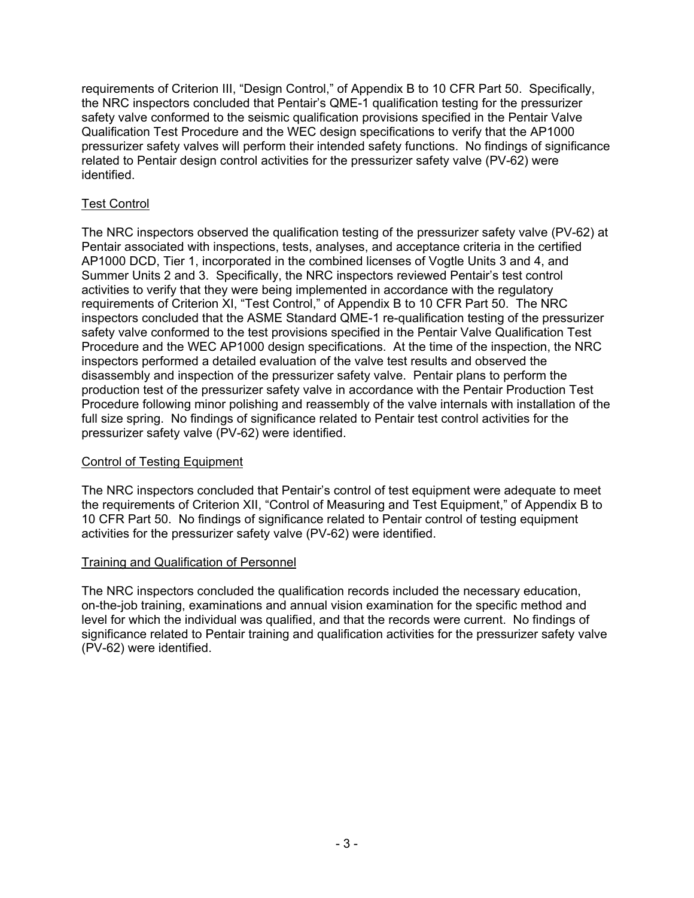requirements of Criterion III, "Design Control," of Appendix B to 10 CFR Part 50. Specifically, the NRC inspectors concluded that Pentair's QME-1 qualification testing for the pressurizer safety valve conformed to the seismic qualification provisions specified in the Pentair Valve Qualification Test Procedure and the WEC design specifications to verify that the AP1000 pressurizer safety valves will perform their intended safety functions. No findings of significance related to Pentair design control activities for the pressurizer safety valve (PV-62) were identified.

## Test Control

The NRC inspectors observed the qualification testing of the pressurizer safety valve (PV-62) at Pentair associated with inspections, tests, analyses, and acceptance criteria in the certified AP1000 DCD, Tier 1, incorporated in the combined licenses of Vogtle Units 3 and 4, and Summer Units 2 and 3. Specifically, the NRC inspectors reviewed Pentair's test control activities to verify that they were being implemented in accordance with the regulatory requirements of Criterion XI, "Test Control," of Appendix B to 10 CFR Part 50. The NRC inspectors concluded that the ASME Standard QME-1 re-qualification testing of the pressurizer safety valve conformed to the test provisions specified in the Pentair Valve Qualification Test Procedure and the WEC AP1000 design specifications. At the time of the inspection, the NRC inspectors performed a detailed evaluation of the valve test results and observed the disassembly and inspection of the pressurizer safety valve. Pentair plans to perform the production test of the pressurizer safety valve in accordance with the Pentair Production Test Procedure following minor polishing and reassembly of the valve internals with installation of the full size spring. No findings of significance related to Pentair test control activities for the pressurizer safety valve (PV-62) were identified.

## Control of Testing Equipment

The NRC inspectors concluded that Pentair's control of test equipment were adequate to meet the requirements of Criterion XII, "Control of Measuring and Test Equipment," of Appendix B to 10 CFR Part 50. No findings of significance related to Pentair control of testing equipment activities for the pressurizer safety valve (PV-62) were identified.

## Training and Qualification of Personnel

The NRC inspectors concluded the qualification records included the necessary education, on-the-job training, examinations and annual vision examination for the specific method and level for which the individual was qualified, and that the records were current. No findings of significance related to Pentair training and qualification activities for the pressurizer safety valve (PV-62) were identified.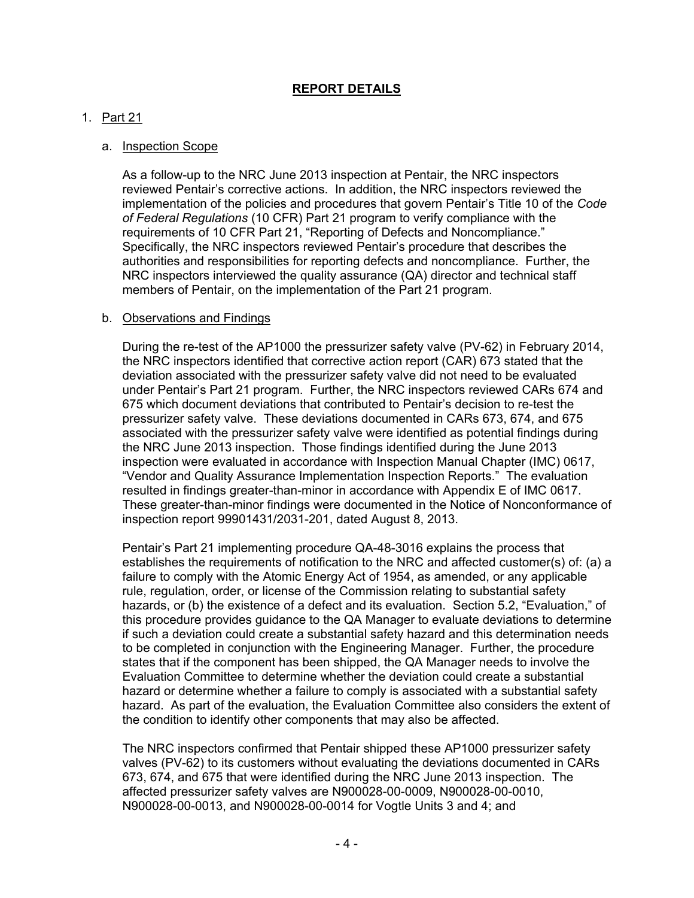## **REPORT DETAILS**

### 1. Part 21

#### a. Inspection Scope

As a follow-up to the NRC June 2013 inspection at Pentair, the NRC inspectors reviewed Pentair's corrective actions. In addition, the NRC inspectors reviewed the implementation of the policies and procedures that govern Pentair's Title 10 of the *Code of Federal Regulations* (10 CFR) Part 21 program to verify compliance with the requirements of 10 CFR Part 21, "Reporting of Defects and Noncompliance." Specifically, the NRC inspectors reviewed Pentair's procedure that describes the authorities and responsibilities for reporting defects and noncompliance. Further, the NRC inspectors interviewed the quality assurance (QA) director and technical staff members of Pentair, on the implementation of the Part 21 program.

#### b. Observations and Findings

During the re-test of the AP1000 the pressurizer safety valve (PV-62) in February 2014, the NRC inspectors identified that corrective action report (CAR) 673 stated that the deviation associated with the pressurizer safety valve did not need to be evaluated under Pentair's Part 21 program. Further, the NRC inspectors reviewed CARs 674 and 675 which document deviations that contributed to Pentair's decision to re-test the pressurizer safety valve. These deviations documented in CARs 673, 674, and 675 associated with the pressurizer safety valve were identified as potential findings during the NRC June 2013 inspection. Those findings identified during the June 2013 inspection were evaluated in accordance with Inspection Manual Chapter (IMC) 0617, "Vendor and Quality Assurance Implementation Inspection Reports." The evaluation resulted in findings greater-than-minor in accordance with Appendix E of IMC 0617. These greater-than-minor findings were documented in the Notice of Nonconformance of inspection report 99901431/2031-201, dated August 8, 2013.

Pentair's Part 21 implementing procedure QA-48-3016 explains the process that establishes the requirements of notification to the NRC and affected customer(s) of: (a) a failure to comply with the Atomic Energy Act of 1954, as amended, or any applicable rule, regulation, order, or license of the Commission relating to substantial safety hazards, or (b) the existence of a defect and its evaluation. Section 5.2, "Evaluation," of this procedure provides guidance to the QA Manager to evaluate deviations to determine if such a deviation could create a substantial safety hazard and this determination needs to be completed in conjunction with the Engineering Manager. Further, the procedure states that if the component has been shipped, the QA Manager needs to involve the Evaluation Committee to determine whether the deviation could create a substantial hazard or determine whether a failure to comply is associated with a substantial safety hazard. As part of the evaluation, the Evaluation Committee also considers the extent of the condition to identify other components that may also be affected.

The NRC inspectors confirmed that Pentair shipped these AP1000 pressurizer safety valves (PV-62) to its customers without evaluating the deviations documented in CARs 673, 674, and 675 that were identified during the NRC June 2013 inspection. The affected pressurizer safety valves are N900028-00-0009, N900028-00-0010, N900028-00-0013, and N900028-00-0014 for Vogtle Units 3 and 4; and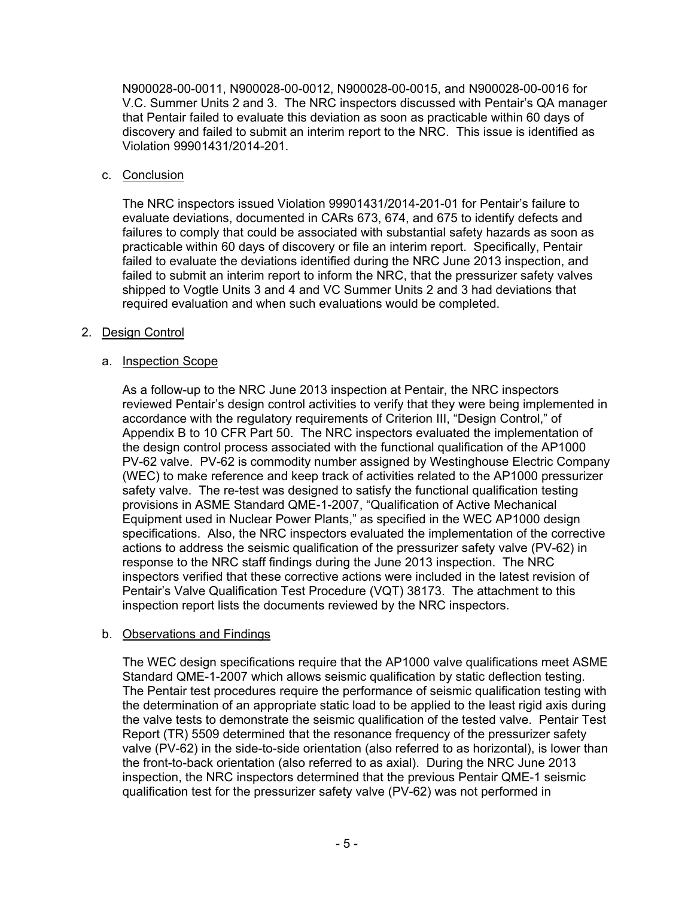N900028-00-0011, N900028-00-0012, N900028-00-0015, and N900028-00-0016 for V.C. Summer Units 2 and 3. The NRC inspectors discussed with Pentair's QA manager that Pentair failed to evaluate this deviation as soon as practicable within 60 days of discovery and failed to submit an interim report to the NRC. This issue is identified as Violation 99901431/2014-201.

### c. Conclusion

The NRC inspectors issued Violation 99901431/2014-201-01 for Pentair's failure to evaluate deviations, documented in CARs 673, 674, and 675 to identify defects and failures to comply that could be associated with substantial safety hazards as soon as practicable within 60 days of discovery or file an interim report. Specifically, Pentair failed to evaluate the deviations identified during the NRC June 2013 inspection, and failed to submit an interim report to inform the NRC, that the pressurizer safety valves shipped to Vogtle Units 3 and 4 and VC Summer Units 2 and 3 had deviations that required evaluation and when such evaluations would be completed.

### 2. Design Control

### a. Inspection Scope

As a follow-up to the NRC June 2013 inspection at Pentair, the NRC inspectors reviewed Pentair's design control activities to verify that they were being implemented in accordance with the regulatory requirements of Criterion III, "Design Control," of Appendix B to 10 CFR Part 50. The NRC inspectors evaluated the implementation of the design control process associated with the functional qualification of the AP1000 PV-62 valve. PV-62 is commodity number assigned by Westinghouse Electric Company (WEC) to make reference and keep track of activities related to the AP1000 pressurizer safety valve. The re-test was designed to satisfy the functional qualification testing provisions in ASME Standard QME-1-2007, "Qualification of Active Mechanical Equipment used in Nuclear Power Plants," as specified in the WEC AP1000 design specifications. Also, the NRC inspectors evaluated the implementation of the corrective actions to address the seismic qualification of the pressurizer safety valve (PV-62) in response to the NRC staff findings during the June 2013 inspection. The NRC inspectors verified that these corrective actions were included in the latest revision of Pentair's Valve Qualification Test Procedure (VQT) 38173. The attachment to this inspection report lists the documents reviewed by the NRC inspectors.

### b. Observations and Findings

The WEC design specifications require that the AP1000 valve qualifications meet ASME Standard QME-1-2007 which allows seismic qualification by static deflection testing. The Pentair test procedures require the performance of seismic qualification testing with the determination of an appropriate static load to be applied to the least rigid axis during the valve tests to demonstrate the seismic qualification of the tested valve. Pentair Test Report (TR) 5509 determined that the resonance frequency of the pressurizer safety valve (PV-62) in the side-to-side orientation (also referred to as horizontal), is lower than the front-to-back orientation (also referred to as axial). During the NRC June 2013 inspection, the NRC inspectors determined that the previous Pentair QME-1 seismic qualification test for the pressurizer safety valve (PV-62) was not performed in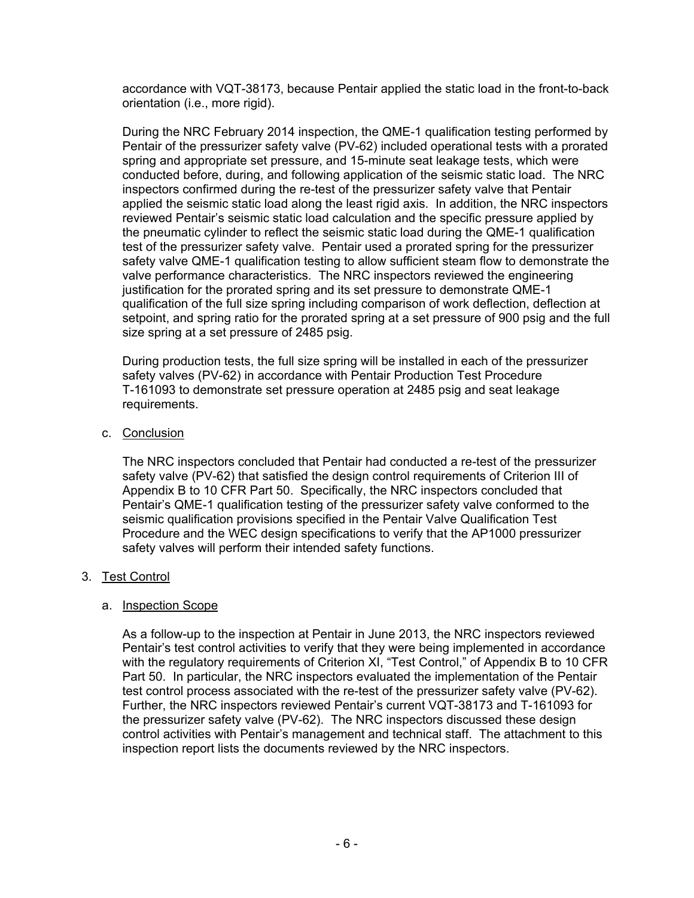accordance with VQT-38173, because Pentair applied the static load in the front-to-back orientation (i.e., more rigid).

During the NRC February 2014 inspection, the QME-1 qualification testing performed by Pentair of the pressurizer safety valve (PV-62) included operational tests with a prorated spring and appropriate set pressure, and 15-minute seat leakage tests, which were conducted before, during, and following application of the seismic static load. The NRC inspectors confirmed during the re-test of the pressurizer safety valve that Pentair applied the seismic static load along the least rigid axis. In addition, the NRC inspectors reviewed Pentair's seismic static load calculation and the specific pressure applied by the pneumatic cylinder to reflect the seismic static load during the QME-1 qualification test of the pressurizer safety valve. Pentair used a prorated spring for the pressurizer safety valve QME-1 qualification testing to allow sufficient steam flow to demonstrate the valve performance characteristics. The NRC inspectors reviewed the engineering justification for the prorated spring and its set pressure to demonstrate QME-1 qualification of the full size spring including comparison of work deflection, deflection at setpoint, and spring ratio for the prorated spring at a set pressure of 900 psig and the full size spring at a set pressure of 2485 psig.

During production tests, the full size spring will be installed in each of the pressurizer safety valves (PV-62) in accordance with Pentair Production Test Procedure T-161093 to demonstrate set pressure operation at 2485 psig and seat leakage requirements.

c. Conclusion

The NRC inspectors concluded that Pentair had conducted a re-test of the pressurizer safety valve (PV-62) that satisfied the design control requirements of Criterion III of Appendix B to 10 CFR Part 50. Specifically, the NRC inspectors concluded that Pentair's QME-1 qualification testing of the pressurizer safety valve conformed to the seismic qualification provisions specified in the Pentair Valve Qualification Test Procedure and the WEC design specifications to verify that the AP1000 pressurizer safety valves will perform their intended safety functions.

## 3. Test Control

### a. Inspection Scope

As a follow-up to the inspection at Pentair in June 2013, the NRC inspectors reviewed Pentair's test control activities to verify that they were being implemented in accordance with the regulatory requirements of Criterion XI, "Test Control," of Appendix B to 10 CFR Part 50. In particular, the NRC inspectors evaluated the implementation of the Pentair test control process associated with the re-test of the pressurizer safety valve (PV-62). Further, the NRC inspectors reviewed Pentair's current VQT-38173 and T-161093 for the pressurizer safety valve (PV-62). The NRC inspectors discussed these design control activities with Pentair's management and technical staff. The attachment to this inspection report lists the documents reviewed by the NRC inspectors.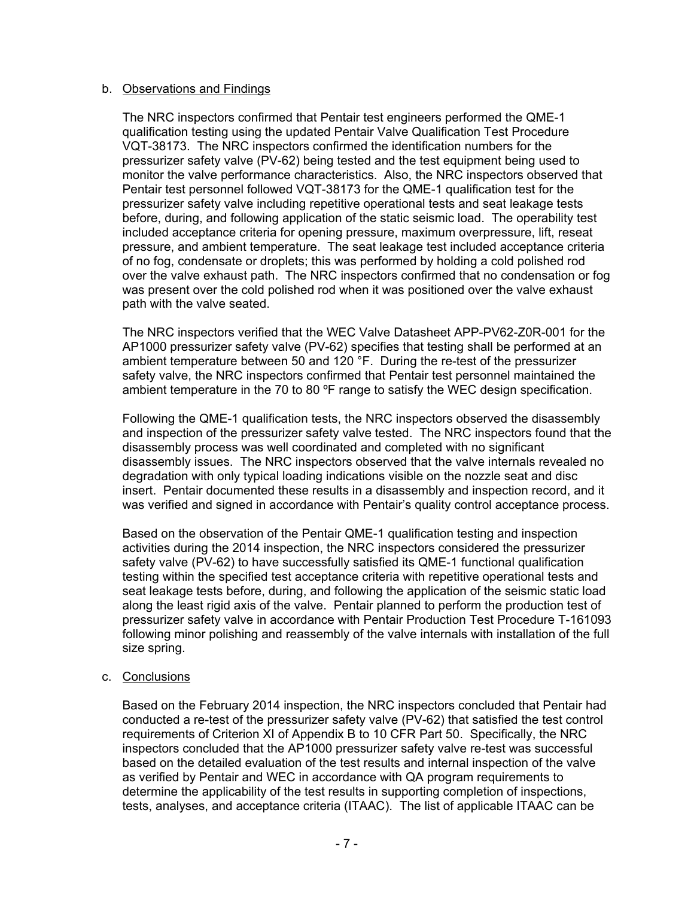### b. Observations and Findings

The NRC inspectors confirmed that Pentair test engineers performed the QME-1 qualification testing using the updated Pentair Valve Qualification Test Procedure VQT-38173. The NRC inspectors confirmed the identification numbers for the pressurizer safety valve (PV-62) being tested and the test equipment being used to monitor the valve performance characteristics. Also, the NRC inspectors observed that Pentair test personnel followed VQT-38173 for the QME-1 qualification test for the pressurizer safety valve including repetitive operational tests and seat leakage tests before, during, and following application of the static seismic load. The operability test included acceptance criteria for opening pressure, maximum overpressure, lift, reseat pressure, and ambient temperature. The seat leakage test included acceptance criteria of no fog, condensate or droplets; this was performed by holding a cold polished rod over the valve exhaust path. The NRC inspectors confirmed that no condensation or fog was present over the cold polished rod when it was positioned over the valve exhaust path with the valve seated.

The NRC inspectors verified that the WEC Valve Datasheet APP-PV62-Z0R-001 for the AP1000 pressurizer safety valve (PV-62) specifies that testing shall be performed at an ambient temperature between 50 and 120 °F. During the re-test of the pressurizer safety valve, the NRC inspectors confirmed that Pentair test personnel maintained the ambient temperature in the 70 to 80 °F range to satisfy the WEC design specification.

Following the QME-1 qualification tests, the NRC inspectors observed the disassembly and inspection of the pressurizer safety valve tested. The NRC inspectors found that the disassembly process was well coordinated and completed with no significant disassembly issues. The NRC inspectors observed that the valve internals revealed no degradation with only typical loading indications visible on the nozzle seat and disc insert. Pentair documented these results in a disassembly and inspection record, and it was verified and signed in accordance with Pentair's quality control acceptance process.

Based on the observation of the Pentair QME-1 qualification testing and inspection activities during the 2014 inspection, the NRC inspectors considered the pressurizer safety valve (PV-62) to have successfully satisfied its QME-1 functional qualification testing within the specified test acceptance criteria with repetitive operational tests and seat leakage tests before, during, and following the application of the seismic static load along the least rigid axis of the valve. Pentair planned to perform the production test of pressurizer safety valve in accordance with Pentair Production Test Procedure T-161093 following minor polishing and reassembly of the valve internals with installation of the full size spring.

#### c. Conclusions

Based on the February 2014 inspection, the NRC inspectors concluded that Pentair had conducted a re-test of the pressurizer safety valve (PV-62) that satisfied the test control requirements of Criterion XI of Appendix B to 10 CFR Part 50. Specifically, the NRC inspectors concluded that the AP1000 pressurizer safety valve re-test was successful based on the detailed evaluation of the test results and internal inspection of the valve as verified by Pentair and WEC in accordance with QA program requirements to determine the applicability of the test results in supporting completion of inspections, tests, analyses, and acceptance criteria (ITAAC). The list of applicable ITAAC can be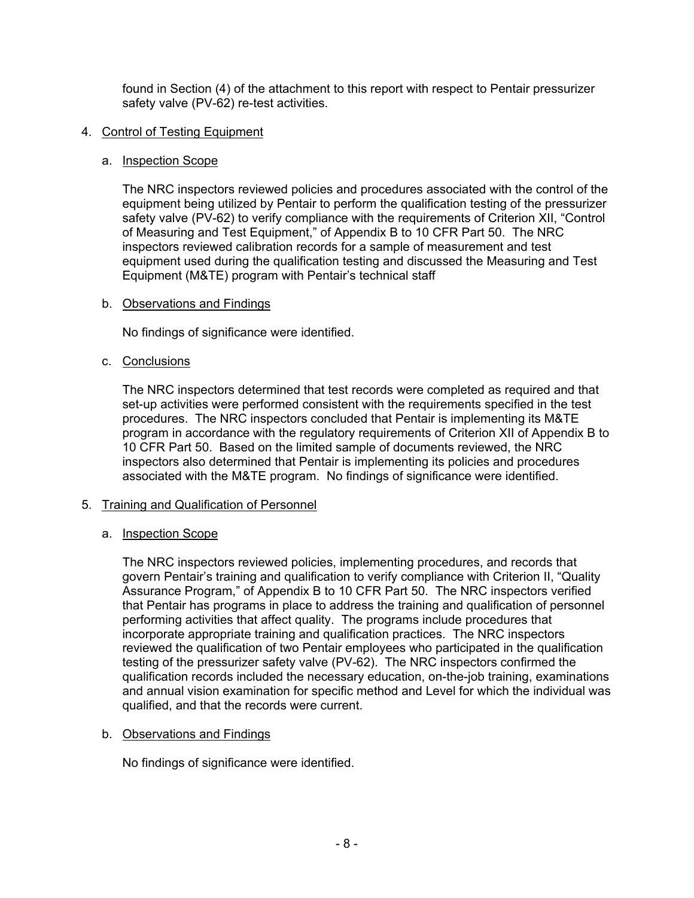found in Section (4) of the attachment to this report with respect to Pentair pressurizer safety valve (PV-62) re-test activities.

### 4. Control of Testing Equipment

## a. Inspection Scope

The NRC inspectors reviewed policies and procedures associated with the control of the equipment being utilized by Pentair to perform the qualification testing of the pressurizer safety valve (PV-62) to verify compliance with the requirements of Criterion XII, "Control of Measuring and Test Equipment," of Appendix B to 10 CFR Part 50. The NRC inspectors reviewed calibration records for a sample of measurement and test equipment used during the qualification testing and discussed the Measuring and Test Equipment (M&TE) program with Pentair's technical staff

## b. Observations and Findings

No findings of significance were identified.

## c. Conclusions

The NRC inspectors determined that test records were completed as required and that set-up activities were performed consistent with the requirements specified in the test procedures. The NRC inspectors concluded that Pentair is implementing its M&TE program in accordance with the regulatory requirements of Criterion XII of Appendix B to 10 CFR Part 50. Based on the limited sample of documents reviewed, the NRC inspectors also determined that Pentair is implementing its policies and procedures associated with the M&TE program. No findings of significance were identified.

## 5. Training and Qualification of Personnel

## a. Inspection Scope

The NRC inspectors reviewed policies, implementing procedures, and records that govern Pentair's training and qualification to verify compliance with Criterion II, "Quality Assurance Program," of Appendix B to 10 CFR Part 50. The NRC inspectors verified that Pentair has programs in place to address the training and qualification of personnel performing activities that affect quality. The programs include procedures that incorporate appropriate training and qualification practices. The NRC inspectors reviewed the qualification of two Pentair employees who participated in the qualification testing of the pressurizer safety valve (PV-62). The NRC inspectors confirmed the qualification records included the necessary education, on-the-job training, examinations and annual vision examination for specific method and Level for which the individual was qualified, and that the records were current.

### b. Observations and Findings

No findings of significance were identified.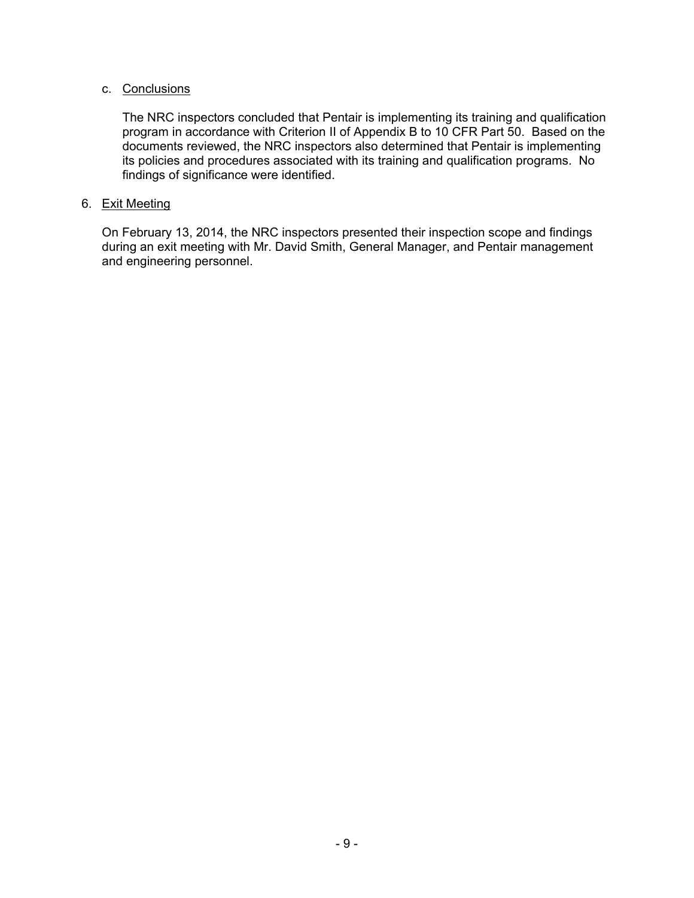### c. Conclusions

The NRC inspectors concluded that Pentair is implementing its training and qualification program in accordance with Criterion II of Appendix B to 10 CFR Part 50. Based on the documents reviewed, the NRC inspectors also determined that Pentair is implementing its policies and procedures associated with its training and qualification programs. No findings of significance were identified.

### 6. Exit Meeting

On February 13, 2014, the NRC inspectors presented their inspection scope and findings during an exit meeting with Mr. David Smith, General Manager, and Pentair management and engineering personnel.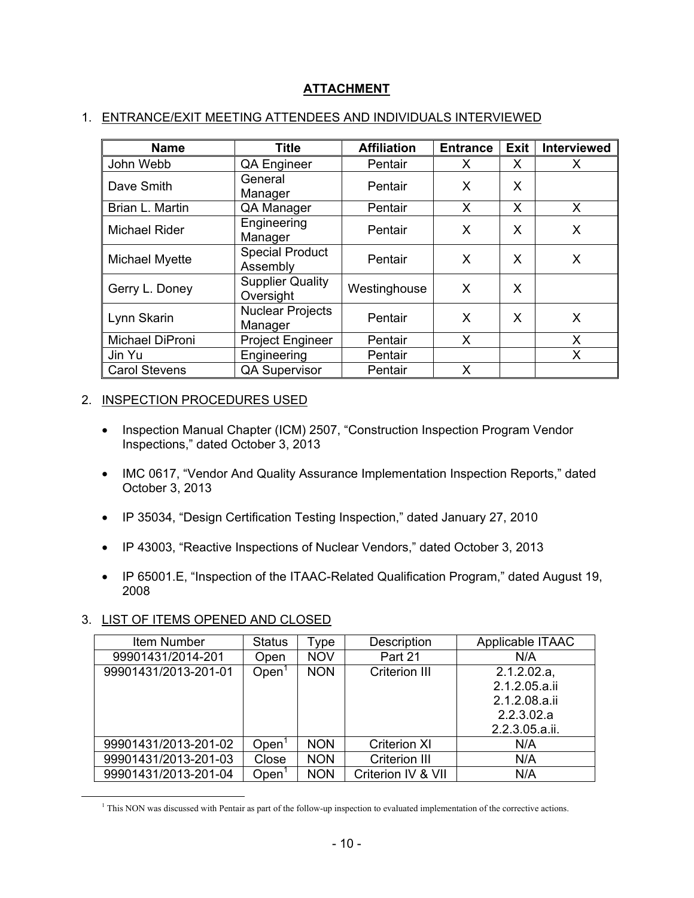# **ATTACHMENT**

## 1. ENTRANCE/EXIT MEETING ATTENDEES AND INDIVIDUALS INTERVIEWED

| <b>Name</b>           | <b>Title</b>                         | <b>Affiliation</b> | <b>Entrance</b> | <b>Exit</b> | <b>Interviewed</b> |
|-----------------------|--------------------------------------|--------------------|-----------------|-------------|--------------------|
| John Webb             | QA Engineer                          | Pentair            | X               | X           | X                  |
| Dave Smith            | General<br>Manager                   | Pentair            | X               | X           |                    |
| Brian L. Martin       | QA Manager                           | Pentair            | X               | X           | X                  |
| <b>Michael Rider</b>  | Engineering<br>Manager               | Pentair            | X               | X           | Χ                  |
| <b>Michael Myette</b> | <b>Special Product</b><br>Assembly   | Pentair            | X               | X           | X                  |
| Gerry L. Doney        | <b>Supplier Quality</b><br>Oversight | Westinghouse       | X               | X           |                    |
| Lynn Skarin           | <b>Nuclear Projects</b><br>Manager   | Pentair            | X               | X           | X                  |
| Michael DiProni       | <b>Project Engineer</b>              | Pentair            | X               |             | Χ                  |
| Jin Yu                | Engineering                          | Pentair            |                 |             | Χ                  |
| <b>Carol Stevens</b>  | <b>QA Supervisor</b>                 | Pentair            | X               |             |                    |

### 2. INSPECTION PROCEDURES USED

- Inspection Manual Chapter (ICM) 2507, "Construction Inspection Program Vendor Inspections," dated October 3, 2013
- IMC 0617, "Vendor And Quality Assurance Implementation Inspection Reports," dated October 3, 2013
- IP 35034, "Design Certification Testing Inspection," dated January 27, 2010
- IP 43003, "Reactive Inspections of Nuclear Vendors," dated October 3, 2013
- IP 65001.E, "Inspection of the ITAAC-Related Qualification Program," dated August 19, 2008

### 3. LIST OF ITEMS OPENED AND CLOSED

| Item Number          | <b>Status</b> | Type       | Description          | Applicable ITAAC |
|----------------------|---------------|------------|----------------------|------------------|
| 99901431/2014-201    | Open          | <b>NOV</b> | Part 21              | N/A              |
| 99901431/2013-201-01 | Open          | <b>NON</b> | <b>Criterion III</b> | $2.1.2.02.a$ ,   |
|                      |               |            |                      | 2.1.2.05.a.ii    |
|                      |               |            |                      | 2.1.2.08.a.ii    |
|                      |               |            |                      | 2.2.3.02.a       |
|                      |               |            |                      | 2.2.3.05.a.ii.   |
| 99901431/2013-201-02 | Open          | <b>NON</b> | <b>Criterion XI</b>  | N/A              |
| 99901431/2013-201-03 | Close         | <b>NON</b> | Criterion III        | N/A              |
| 99901431/2013-201-04 | Open          | <b>NON</b> | Criterion IV & VII   | N/A              |

 $\frac{1}{1}$ <sup>1</sup> This NON was discussed with Pentair as part of the follow-up inspection to evaluated implementation of the corrective actions.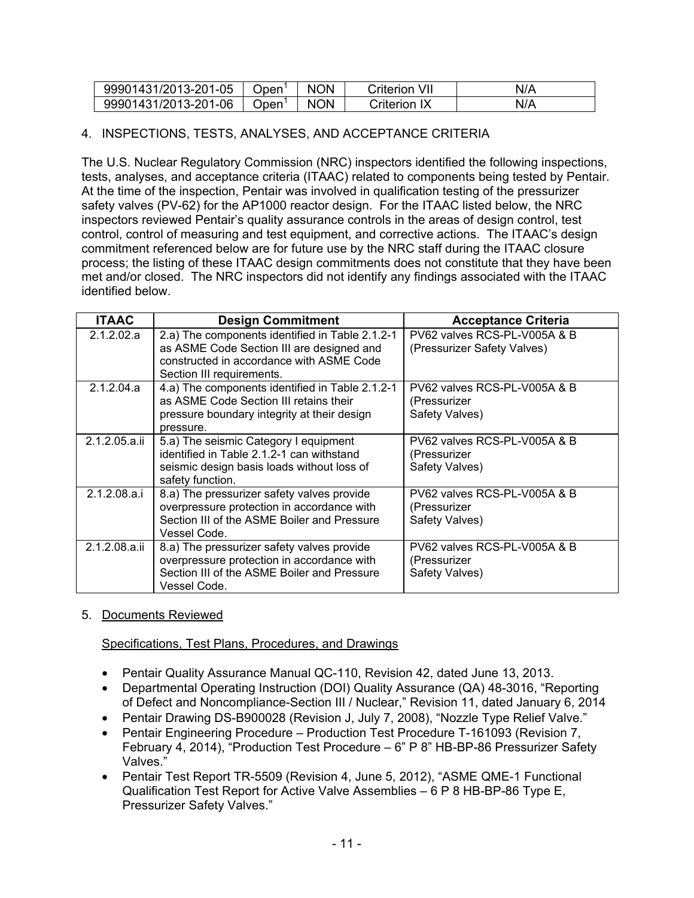| 99901431/2013-201-05 | Open | <b>NON</b> | VII<br>Criterion | N/A |
|----------------------|------|------------|------------------|-----|
| 99901431/2013-201-06 | Open | <b>NON</b> | Criterion IX     | N/A |

# 4. INSPECTIONS, TESTS, ANALYSES, AND ACCEPTANCE CRITERIA

The U.S. Nuclear Regulatory Commission (NRC) inspectors identified the following inspections, tests, analyses, and acceptance criteria (ITAAC) related to components being tested by Pentair. At the time of the inspection, Pentair was involved in qualification testing of the pressurizer safety valves (PV-62) for the AP1000 reactor design. For the ITAAC listed below, the NRC inspectors reviewed Pentair's quality assurance controls in the areas of design control, test control, control of measuring and test equipment, and corrective actions. The ITAAC's design commitment referenced below are for future use by the NRC staff during the ITAAC closure process; the listing of these ITAAC design commitments does not constitute that they have been met and/or closed. The NRC inspectors did not identify any findings associated with the ITAAC identified below.

| <b>ITAAC</b>  | <b>Design Commitment</b>                                                                                                                                              | <b>Acceptance Criteria</b>                                     |
|---------------|-----------------------------------------------------------------------------------------------------------------------------------------------------------------------|----------------------------------------------------------------|
| 2.1.2.02.a    | 2.a) The components identified in Table 2.1.2-1<br>as ASME Code Section III are designed and<br>constructed in accordance with ASME Code<br>Section III requirements. | PV62 valves RCS-PL-V005A & B<br>(Pressurizer Safety Valves)    |
| 2.1.2.04.a    | 4.a) The components identified in Table 2.1.2-1<br>as ASME Code Section III retains their<br>pressure boundary integrity at their design<br>pressure.                 | PV62 valves RCS-PL-V005A & B<br>(Pressurizer<br>Safety Valves) |
| 2.1.2.05.a.ii | 5.a) The seismic Category I equipment<br>identified in Table 2.1.2-1 can withstand<br>seismic design basis loads without loss of<br>safety function.                  | PV62 valves RCS-PL-V005A & B<br>(Pressurizer<br>Safety Valves) |
| 2.1.2.08.a.i  | 8.a) The pressurizer safety valves provide<br>overpressure protection in accordance with<br>Section III of the ASME Boiler and Pressure<br>Vessel Code.               | PV62 valves RCS-PL-V005A & B<br>(Pressurizer<br>Safety Valves) |
| 2.1.2.08.a.ii | 8.a) The pressurizer safety valves provide<br>overpressure protection in accordance with<br>Section III of the ASME Boiler and Pressure<br>Vessel Code.               | PV62 valves RCS-PL-V005A & B<br>(Pressurizer<br>Safety Valves) |

## 5. Documents Reviewed

### Specifications, Test Plans, Procedures, and Drawings

- Pentair Quality Assurance Manual QC-110, Revision 42, dated June 13, 2013.
- Departmental Operating Instruction (DOI) Quality Assurance (QA) 48-3016, "Reporting of Defect and Noncompliance-Section III / Nuclear," Revision 11, dated January 6, 2014
- Pentair Drawing DS-B900028 (Revision J, July 7, 2008), "Nozzle Type Relief Valve."
- Pentair Engineering Procedure Production Test Procedure T-161093 (Revision 7, February 4, 2014), "Production Test Procedure – 6" P 8" HB-BP-86 Pressurizer Safety Valves."
- Pentair Test Report TR-5509 (Revision 4, June 5, 2012), "ASME QME-1 Functional Qualification Test Report for Active Valve Assemblies – 6 P 8 HB-BP-86 Type E, Pressurizer Safety Valves."